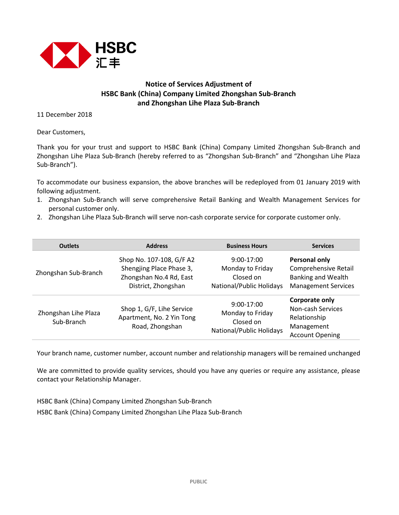

## **Notice of Services Adjustment of HSBC Bank (China) Company Limited Zhongshan Sub-Branch and Zhongshan Lihe Plaza Sub-Branch**

11 December 2018

Dear Customers,

Thank you for your trust and support to HSBC Bank (China) Company Limited Zhongshan Sub-Branch and Zhongshan Lihe Plaza Sub-Branch (hereby referred to as "Zhongshan Sub-Branch" and "Zhongshan Lihe Plaza Sub-Branch").

To accommodate our business expansion, the above branches will be redeployed from 01 January 2019 with following adjustment.

- 1. Zhongshan Sub-Branch will serve comprehensive Retail Banking and Wealth Management Services for personal customer only.
- 2. Zhongshan Lihe Plaza Sub-Branch will serve non-cash corporate service for corporate customer only.

| <b>Outlets</b>                     | <b>Address</b>                                                                                         | <b>Business Hours</b>                                                     | <b>Services</b>                                                                                  |
|------------------------------------|--------------------------------------------------------------------------------------------------------|---------------------------------------------------------------------------|--------------------------------------------------------------------------------------------------|
| Zhongshan Sub-Branch               | Shop No. 107-108, G/F A2<br>Shengjing Place Phase 3,<br>Zhongshan No.4 Rd, East<br>District, Zhongshan | $9:00-17:00$<br>Monday to Friday<br>Closed on<br>National/Public Holidays | Personal only<br>Comprehensive Retail<br><b>Banking and Wealth</b><br><b>Management Services</b> |
| Zhongshan Lihe Plaza<br>Sub-Branch | Shop 1, G/F, Lihe Service<br>Apartment, No. 2 Yin Tong<br>Road, Zhongshan                              | $9:00-17:00$<br>Monday to Friday<br>Closed on<br>National/Public Holidays | Corporate only<br>Non-cash Services<br>Relationship<br>Management<br><b>Account Opening</b>      |

Your branch name, customer number, account number and relationship managers will be remained unchanged

We are committed to provide quality services, should you have any queries or require any assistance, please contact your Relationship Manager.

HSBC Bank (China) Company Limited Zhongshan Sub-Branch HSBC Bank (China) Company Limited Zhongshan Lihe Plaza Sub-Branch